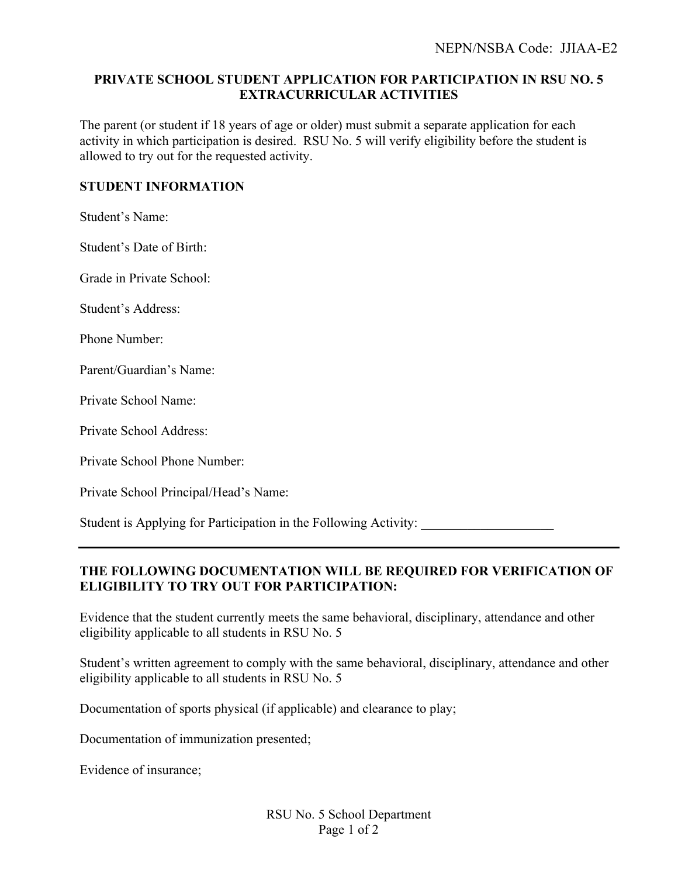## **PRIVATE SCHOOL STUDENT APPLICATION FOR PARTICIPATION IN RSU NO. 5 EXTRACURRICULAR ACTIVITIES**

The parent (or student if 18 years of age or older) must submit a separate application for each activity in which participation is desired. RSU No. 5 will verify eligibility before the student is allowed to try out for the requested activity.

## **STUDENT INFORMATION**

Student's Name:

Student's Date of Birth:

Grade in Private School:

Student's Address:

Phone Number:

Parent/Guardian's Name:

Private School Name:

Private School Address:

Private School Phone Number:

Private School Principal/Head's Name:

Student is Applying for Participation in the Following Activity: \_\_\_\_\_\_\_\_\_\_\_\_\_\_\_

## **THE FOLLOWING DOCUMENTATION WILL BE REQUIRED FOR VERIFICATION OF ELIGIBILITY TO TRY OUT FOR PARTICIPATION:**

Evidence that the student currently meets the same behavioral, disciplinary, attendance and other eligibility applicable to all students in RSU No. 5

Student's written agreement to comply with the same behavioral, disciplinary, attendance and other eligibility applicable to all students in RSU No. 5

Documentation of sports physical (if applicable) and clearance to play;

Documentation of immunization presented;

Evidence of insurance;

RSU No. 5 School Department Page 1 of 2